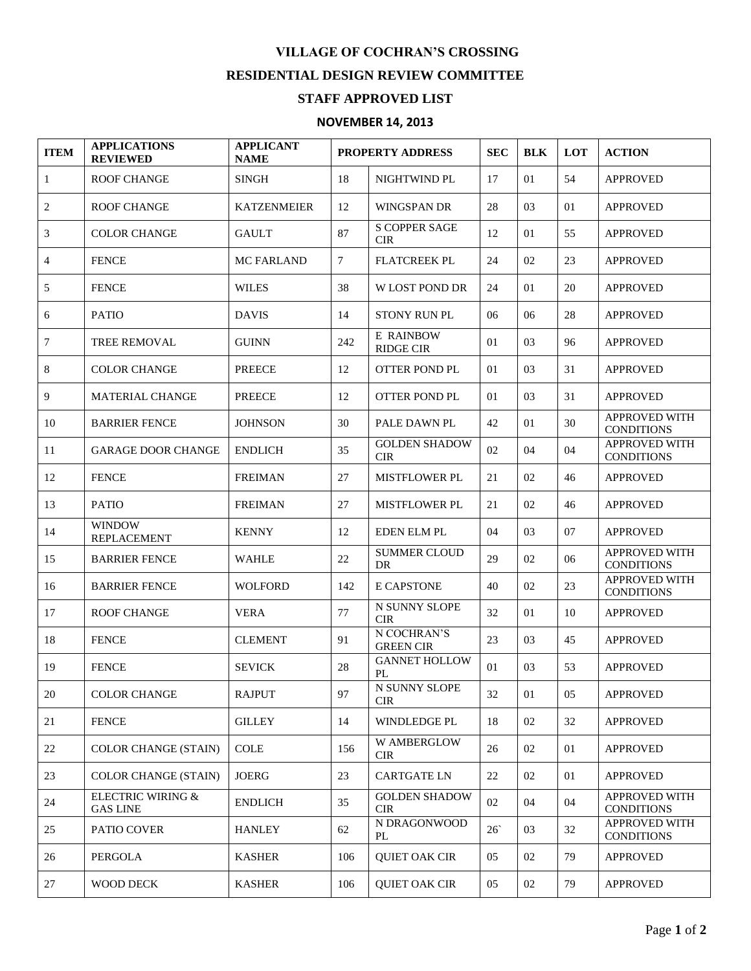## **VILLAGE OF COCHRAN'S CROSSING RESIDENTIAL DESIGN REVIEW COMMITTEE**

## **STAFF APPROVED LIST**

## **NOVEMBER 14, 2013**

| <b>ITEM</b>    | <b>APPLICATIONS</b><br><b>REVIEWED</b> | <b>APPLICANT</b><br><b>NAME</b> | <b>PROPERTY ADDRESS</b> |                                      | <b>SEC</b> | <b>BLK</b> | LOT | <b>ACTION</b>                             |
|----------------|----------------------------------------|---------------------------------|-------------------------|--------------------------------------|------------|------------|-----|-------------------------------------------|
| $\mathbf{1}$   | <b>ROOF CHANGE</b>                     | <b>SINGH</b>                    | 18                      | NIGHTWIND PL                         | 17         | 01         | 54  | <b>APPROVED</b>                           |
| 2              | <b>ROOF CHANGE</b>                     | <b>KATZENMEIER</b>              | 12                      | <b>WINGSPAN DR</b>                   | 28         | 03         | 01  | <b>APPROVED</b>                           |
| 3              | <b>COLOR CHANGE</b>                    | <b>GAULT</b>                    | 87                      | <b>S COPPER SAGE</b><br><b>CIR</b>   | 12         | 01         | 55  | <b>APPROVED</b>                           |
| $\overline{4}$ | <b>FENCE</b>                           | <b>MC FARLAND</b>               | $\tau$                  | <b>FLATCREEK PL</b>                  | 24         | 02         | 23  | <b>APPROVED</b>                           |
| 5              | <b>FENCE</b>                           | <b>WILES</b>                    | 38                      | <b>W LOST POND DR</b>                | 24         | 01         | 20  | <b>APPROVED</b>                           |
| 6              | <b>PATIO</b>                           | <b>DAVIS</b>                    | 14                      | <b>STONY RUN PL</b>                  | 06         | 06         | 28  | <b>APPROVED</b>                           |
| $\tau$         | <b>TREE REMOVAL</b>                    | <b>GUINN</b>                    | 242                     | <b>E RAINBOW</b><br><b>RIDGE CIR</b> | 01         | 03         | 96  | <b>APPROVED</b>                           |
| 8              | <b>COLOR CHANGE</b>                    | <b>PREECE</b>                   | 12                      | <b>OTTER POND PL</b>                 | 01         | 03         | 31  | <b>APPROVED</b>                           |
| 9              | <b>MATERIAL CHANGE</b>                 | <b>PREECE</b>                   | 12                      | <b>OTTER POND PL</b>                 | 01         | 03         | 31  | <b>APPROVED</b>                           |
| 10             | <b>BARRIER FENCE</b>                   | <b>JOHNSON</b>                  | 30                      | PALE DAWN PL                         | 42         | 01         | 30  | <b>APPROVED WITH</b><br><b>CONDITIONS</b> |
| 11             | <b>GARAGE DOOR CHANGE</b>              | <b>ENDLICH</b>                  | 35                      | <b>GOLDEN SHADOW</b><br><b>CIR</b>   | 02         | 04         | 04  | APPROVED WITH<br><b>CONDITIONS</b>        |
| 12             | <b>FENCE</b>                           | <b>FREIMAN</b>                  | 27                      | MISTFLOWER PL                        | 21         | 02         | 46  | <b>APPROVED</b>                           |
| 13             | <b>PATIO</b>                           | <b>FREIMAN</b>                  | 27                      | <b>MISTFLOWER PL</b>                 | 21         | 02         | 46  | <b>APPROVED</b>                           |
| 14             | <b>WINDOW</b><br><b>REPLACEMENT</b>    | <b>KENNY</b>                    | 12                      | <b>EDEN ELM PL</b>                   | 04         | 03         | 07  | <b>APPROVED</b>                           |
| 15             | <b>BARRIER FENCE</b>                   | <b>WAHLE</b>                    | 22                      | <b>SUMMER CLOUD</b><br>DR            | 29         | 02         | 06  | <b>APPROVED WITH</b><br><b>CONDITIONS</b> |
| 16             | <b>BARRIER FENCE</b>                   | <b>WOLFORD</b>                  | 142                     | E CAPSTONE                           | 40         | 02         | 23  | <b>APPROVED WITH</b><br><b>CONDITIONS</b> |
| 17             | <b>ROOF CHANGE</b>                     | <b>VERA</b>                     | 77                      | N SUNNY SLOPE<br><b>CIR</b>          | 32         | 01         | 10  | <b>APPROVED</b>                           |
| 18             | <b>FENCE</b>                           | <b>CLEMENT</b>                  | 91                      | N COCHRAN'S<br><b>GREEN CIR</b>      | 23         | 03         | 45  | <b>APPROVED</b>                           |
| 19             | <b>FENCE</b>                           | <b>SEVICK</b>                   | 28                      | <b>GANNET HOLLOW</b><br>PL           | 01         | 03         | 53  | <b>APPROVED</b>                           |
| 20             | <b>COLOR CHANGE</b>                    | <b>RAJPUT</b>                   | 97                      | N SUNNY SLOPE<br><b>CIR</b>          | 32         | 01         | 05  | <b>APPROVED</b>                           |
| 21             | <b>FENCE</b>                           | <b>GILLEY</b>                   | 14                      | <b>WINDLEDGE PL</b>                  | 18         | 02         | 32  | <b>APPROVED</b>                           |
| 22             | <b>COLOR CHANGE (STAIN)</b>            | <b>COLE</b>                     | 156                     | W AMBERGLOW<br><b>CIR</b>            | 26         | 02         | 01  | <b>APPROVED</b>                           |
| 23             | <b>COLOR CHANGE (STAIN)</b>            | JOERG                           | 23                      | <b>CARTGATE LN</b>                   | 22         | 02         | 01  | <b>APPROVED</b>                           |
| 24             | ELECTRIC WIRING &<br><b>GAS LINE</b>   | <b>ENDLICH</b>                  | 35                      | <b>GOLDEN SHADOW</b><br><b>CIR</b>   | 02         | 04         | 04  | APPROVED WITH<br><b>CONDITIONS</b>        |
| 25             | PATIO COVER                            | <b>HANLEY</b>                   | 62                      | N DRAGONWOOD<br>PL                   | $26^\circ$ | 03         | 32  | <b>APPROVED WITH</b><br><b>CONDITIONS</b> |
| 26             | PERGOLA                                | <b>KASHER</b>                   | 106                     | <b>QUIET OAK CIR</b>                 | 05         | 02         | 79  | <b>APPROVED</b>                           |
| 27             | WOOD DECK                              | <b>KASHER</b>                   | 106                     | <b>QUIET OAK CIR</b>                 | 05         | 02         | 79  | APPROVED                                  |